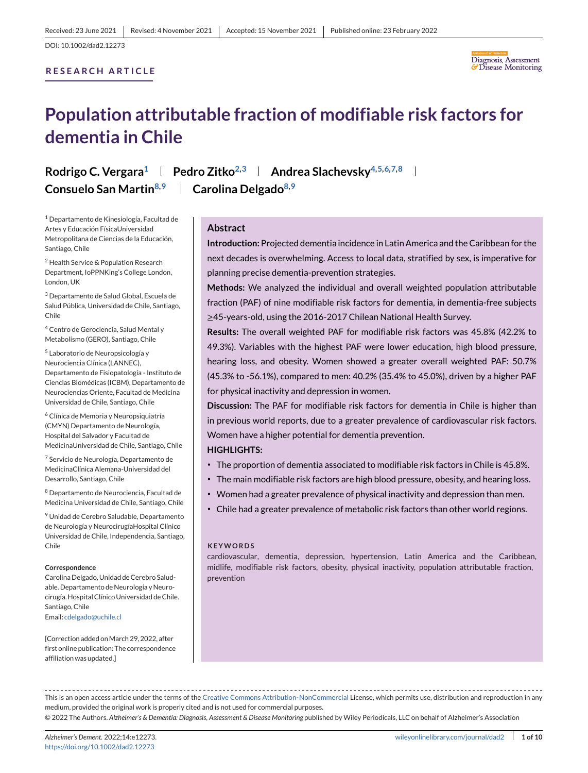# **RESEARCH ARTICLE**



# **Population attributable fraction of modifiable risk factors for dementia in Chile**

**Rodrigo C. Vergara<sup>1</sup> | Pedro Zitko<sup>2,3</sup> | Andrea Slachevsky<sup>4,5,6,7,8</sup> Consuelo San Martin8,9 Carolina Delgado8,9**

<sup>1</sup> Departamento de Kinesiología, Facultad de Artes y Educación FísicaUniversidad Metropolitana de Ciencias de la Educación, Santiago, Chile

<sup>2</sup> Health Service & Population Research Department, IoPPNKing's College London, London, UK

<sup>3</sup> Departamento de Salud Global, Escuela de Salud Pública, Universidad de Chile, Santiago, Chile

<sup>4</sup> Centro de Gerociencia, Salud Mental y Metabolismo (GERO), Santiago, Chile

<sup>5</sup> Laboratorio de Neuropsicología y Neurociencia Clínica (LANNEC), Departamento de Fisiopatología - Instituto de Ciencias Biomédicas (ICBM), Departamento de Neurociencias Oriente, Facultad de Medicina Universidad de Chile, Santiago, Chile

<sup>6</sup> Clínica de Memoria y Neuropsiquiatría (CMYN) Departamento de Neurología, Hospital del Salvador y Facultad de MedicinaUniversidad de Chile, Santiago, Chile

<sup>7</sup> Servicio de Neurología, Departamento de MedicinaClínica Alemana-Universidad del Desarrollo, Santiago, Chile

<sup>8</sup> Departamento de Neurociencia, Facultad de Medicina Universidad de Chile, Santiago, Chile

<sup>9</sup> Unidad de Cerebro Saludable, Departamento de Neurología y NeurocirugíaHospital Clínico Universidad de Chile, Independencia, Santiago, Chile

#### **Correspondence**

Carolina Delgado, Unidad de Cerebro Saludable. Departamento de Neurología y Neurocirugía. Hospital Clínico Universidad de Chile. Santiago, Chile Email: [cdelgado@uchile.cl](mailto:cdelgado@uchile.cl)

[Correction added on March 29, 2022, after first online publication: The correspondence affiliation was updated.]

## **Abstract**

**Introduction:**Projected dementia incidence in Latin America and the Caribbean for the next decades is overwhelming. Access to local data, stratified by sex, is imperative for planning precise dementia-prevention strategies.

**Methods:** We analyzed the individual and overall weighted population attributable fraction (PAF) of nine modifiable risk factors for dementia, in dementia-free subjects ≥45-years-old, using the 2016-2017 Chilean National Health Survey.

**Results:** The overall weighted PAF for modifiable risk factors was 45.8% (42.2% to 49.3%). Variables with the highest PAF were lower education, high blood pressure, hearing loss, and obesity. Women showed a greater overall weighted PAF: 50.7% (45.3% to -56.1%), compared to men: 40.2% (35.4% to 45.0%), driven by a higher PAF for physical inactivity and depression in women.

**Discussion:** The PAF for modifiable risk factors for dementia in Chile is higher than in previous world reports, due to a greater prevalence of cardiovascular risk factors. Women have a higher potential for dementia prevention.

## **HIGHLIGHTS:**

- ∙ The proportion of dementia associated to modifiable risk factors in Chile is 45.8%.
- ∙ The main modifiable risk factors are high blood pressure, obesity, and hearing loss.
- ∙ Women had a greater prevalence of physical inactivity and depression than men.
- ∙ Chile had a greater prevalence of metabolic risk factors than other world regions.

#### **KEYWORDS**

cardiovascular, dementia, depression, hypertension, Latin America and the Caribbean, midlife, modifiable risk factors, obesity, physical inactivity, population attributable fraction, prevention

This is an open access article under the terms of the [Creative Commons Attribution-NonCommercial](http://creativecommons.org/licenses/by-nc/4.0/) License, which permits use, distribution and reproduction in any medium, provided the original work is properly cited and is not used for commercial purposes.

© 2022 The Authors. *Alzheimer's & Dementia: Diagnosis, Assessment & Disease Monitoring* published by Wiley Periodicals, LLC on behalf of Alzheimer's Association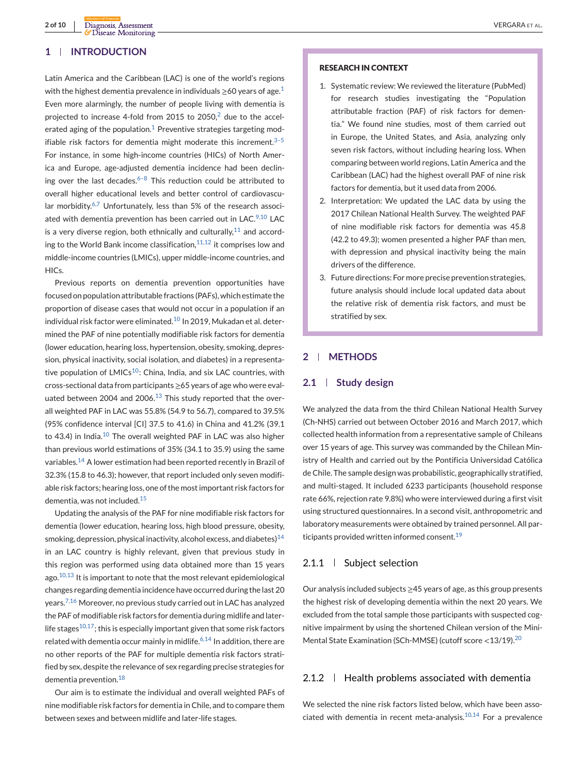# **1 INTRODUCTION**

Latin America and the Caribbean (LAC) is one of the world's regions with the highest dementia prevalence in individuals  $\geq$  60 years of age.<sup>[1](#page-7-0)</sup> Even more alarmingly, the number of people living with dementia is projected to increase 4-fold from [2](#page-7-0)015 to 2050, $2$  due to the accel-erated aging of the population.<sup>[1](#page-7-0)</sup> Preventive strategies targeting modifiable risk factors for dementia might moderate this increment.<sup>3-5</sup> For instance, in some high-income countries (HICs) of North America and Europe, age-adjusted dementia incidence had been declining over the last decades.<sup> $6-8$ </sup> This reduction could be attributed to overall higher educational levels and better control of cardiovascu-lar morbidity.<sup>[6,7](#page-7-0)</sup> Unfortunately, less than 5% of the research associ-ated with dementia prevention has been carried out in LAC.<sup>[9,10](#page-7-0)</sup> LAC is a very diverse region, both ethnically and culturally, $11$  and according to the World Bank income classification, $11,12$  it comprises low and middle-income countries (LMICs), upper middle-income countries, and HICs.

Previous reports on dementia prevention opportunities have focused on population attributable fractions (PAFs), which estimate the proportion of disease cases that would not occur in a population if an individual risk factor were eliminated.<sup>[10](#page-7-0)</sup> In 2019, Mukadan et al. determined the PAF of nine potentially modifiable risk factors for dementia (lower education, hearing loss, hypertension, obesity, smoking, depression, physical inactivity, social isolation, and diabetes) in a representative population of  $LMICs^{10}$ : China, India, and six LAC countries, with cross-sectional data from participants ≥65 years of age who were evaluated between 2004 and 2006. $13$  This study reported that the overall weighted PAF in LAC was 55.8% (54.9 to 56.7), compared to 39.5% (95% confidence interval [CI] 37.5 to 41.6) in China and 41.2% (39.1 to 43.4) in India.<sup>[10](#page-7-0)</sup> The overall weighted PAF in LAC was also higher than previous world estimations of 35% (34.1 to 35.9) using the same variables.<sup>[14](#page-7-0)</sup> A lower estimation had been reported recently in Brazil of 32.3% (15.8 to 46.3); however, that report included only seven modifiable risk factors; hearing loss, one of the most important risk factors for dementia, was not included.[15](#page-7-0)

Updating the analysis of the PAF for nine modifiable risk factors for dementia (lower education, hearing loss, high blood pressure, obesity, smoking, depression, physical inactivity, alcohol excess, and diabetes) $14$ in an LAC country is highly relevant, given that previous study in this region was performed using data obtained more than 15 years ago. $10,13$  It is important to note that the most relevant epidemiological changes regarding dementia incidence have occurred during the last 20 years.<sup>[7,16](#page-7-0)</sup> Moreover, no previous study carried out in LAC has analyzed the PAF of modifiable risk factors for dementia during midlife and laterlife stages $10,17$ ; this is especially important given that some risk factors related with dementia occur mainly in midlife. $6,14$  In addition, there are no other reports of the PAF for multiple dementia risk factors stratified by sex, despite the relevance of sex regarding precise strategies for dementia prevention.<sup>[18](#page-8-0)</sup>

Our aim is to estimate the individual and overall weighted PAFs of nine modifiable risk factors for dementia in Chile, and to compare them between sexes and between midlife and later-life stages.

#### **RESEARCH IN CONTEXT**

- 1. Systematic review: We reviewed the literature (PubMed) for research studies investigating the "Population attributable fraction (PAF) of risk factors for dementia." We found nine studies, most of them carried out in Europe, the United States, and Asia, analyzing only seven risk factors, without including hearing loss. When comparing between world regions, Latin America and the Caribbean (LAC) had the highest overall PAF of nine risk factors for dementia, but it used data from 2006.
- 2. Interpretation: We updated the LAC data by using the 2017 Chilean National Health Survey. The weighted PAF of nine modifiable risk factors for dementia was 45.8 (42.2 to 49.3); women presented a higher PAF than men, with depression and physical inactivity being the main drivers of the difference.
- 3. Future directions: For more precise prevention strategies, future analysis should include local updated data about the relative risk of dementia risk factors, and must be stratified by sex.

# **2 METHODS**

## **2.1 Study design**

We analyzed the data from the third Chilean National Health Survey (Ch-NHS) carried out between October 2016 and March 2017, which collected health information from a representative sample of Chileans over 15 years of age. This survey was commanded by the Chilean Ministry of Health and carried out by the Pontificia Universidad Católica de Chile. The sample design was probabilistic, geographically stratified, and multi-staged. It included 6233 participants (household response rate 66%, rejection rate 9.8%) who were interviewed during a first visit using structured questionnaires. In a second visit, anthropometric and laboratory measurements were obtained by trained personnel. All participants provided written informed consent.[19](#page-8-0)

# 2.1.1 Subject selection

Our analysis included subjects ≥45 years of age, as this group presents the highest risk of developing dementia within the next 20 years. We excluded from the total sample those participants with suspected cognitive impairment by using the shortened Chilean version of the Mini-Mental State Examination (SCh-MMSE) (cutoff score <13/19).<sup>[20](#page-8-0)</sup>

# $2.1.2$   $\parallel$  Health problems associated with dementia

We selected the nine risk factors listed below, which have been associated with dementia in recent meta-analysis. $10,14$  For a prevalence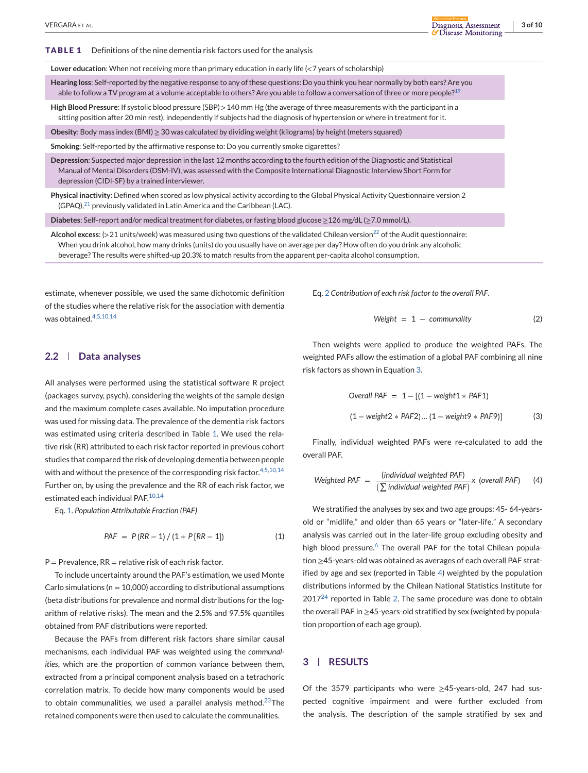**TABLE 1** Definitions of the nine dementia risk factors used for the analysis

**Lower education**: When not receiving more than primary education in early life (<7 years of scholarship)

**Hearing loss**: Self-reported by the negative response to any of these questions: Do you think you hear normally by both ears? Are you able to follow a TV program at a volume acceptable to others? Are you able to follow a conversation of three or more people?<sup>[19](#page-8-0)</sup>

**High Blood Pressure**: If systolic blood pressure (SBP) >140 mm Hg (the average of three measurements with the participant in a sitting position after 20 min rest), independently if subjects had the diagnosis of hypertension or where in treatment for it.

**Obesity**: Body mass index (BMI) ≥ 30 was calculated by dividing weight (kilograms) by height (meters squared)

**Smoking**: Self-reported by the affirmative response to: Do you currently smoke cigarettes?

**Depression**: Suspected major depression in the last 12 months according to the fourth edition of the Diagnostic and Statistical Manual of Mental Disorders (DSM-IV), was assessed with the Composite International Diagnostic Interview Short Form for depression (CIDI-SF) by a trained interviewer.

**Physical inactivity**: Defined when scored as low physical activity according to the Global Physical Activity Questionnaire version 2 (GPAQ), $^{21}$  $^{21}$  $^{21}$  previously validated in Latin America and the Caribbean (LAC).

**Diabetes**: Self-report and/or medical treatment for diabetes, or fasting blood glucose ≥126 mg/dL (≥7.0 mmol/L).

**Alcohol excess:** (>21 units/week) was measured using two questions of the validated Chilean version<sup>[22](#page-8-0)</sup> of the Audit questionnaire: When you drink alcohol, how many drinks (units) do you usually have on average per day? How often do you drink any alcoholic beverage? The results were shifted-up 20.3% to match results from the apparent per-capita alcohol consumption.

estimate, whenever possible, we used the same dichotomic definition of the studies where the relative risk for the association with dementia was obtained.<sup>[4,5,10,14](#page-7-0)</sup>

# **2.2 Data analyses**

All analyses were performed using the statistical software R project (packages survey, psych), considering the weights of the sample design and the maximum complete cases available. No imputation procedure was used for missing data. The prevalence of the dementia risk factors was estimated using criteria described in Table 1. We used the relative risk (RR) attributed to each risk factor reported in previous cohort studies that compared the risk of developing dementia between people with and without the presence of the corresponding risk factor.<sup>[4,5,10,14](#page-7-0)</sup> Further on, by using the prevalence and the RR of each risk factor, we estimated each individual PAF.<sup>[10,14](#page-7-0)</sup>

Eq. 1. *Population Attributable Fraction (PAF)*

$$
PAF = P(RR - 1) / (1 + P[RR - 1])
$$
 (1)

 $P =$  Prevalence, RR = relative risk of each risk factor.

To include uncertainty around the PAF's estimation, we used Monte Carlo simulations ( $n = 10,000$ ) according to distributional assumptions (beta distributions for prevalence and normal distributions for the logarithm of relative risks). The mean and the 2.5% and 97.5% quantiles obtained from PAF distributions were reported.

Because the PAFs from different risk factors share similar causal mechanisms, each individual PAF was weighted using the *communalities*, which are the proportion of common variance between them, extracted from a principal component analysis based on a tetrachoric correlation matrix. To decide how many components would be used to obtain communalities, we used a parallel analysis method.<sup>[23](#page-8-0)</sup>The retained components were then used to calculate the communalities.

Eq. 2 *Contribution of each risk factor to the overall PAF*.

$$
Weight = 1 - community \tag{2}
$$

Then weights were applied to produce the weighted PAFs. The weighted PAFs allow the estimation of a global PAF combining all nine risk factors as shown in Equation 3.

Overall PAF = 
$$
1 - [(1 - weight1 * PAF1)
$$
  
(1 - weight2 \* PAF2)...(1 - weight9 \* PAF9)] (3)

Finally, individual weighted PAFs were re-calculated to add the overall PAF.

Weighted PAF = 
$$
\frac{\text{(individual weighted PAF)}}{\sum \text{individual weighted PAF}} \times \text{(overall PAF)}
$$
 (4)

We stratified the analyses by sex and two age groups: 45- 64-yearsold or "midlife," and older than 65 years or "later-life." A secondary analysis was carried out in the later-life group excluding obesity and high blood pressure. $6$  The overall PAF for the total Chilean population ≥45-years-old was obtained as averages of each overall PAF stratified by age and sex (reported in Table [4\)](#page-4-0) weighted by the population distributions informed by the Chilean National Statistics Institute for  $2017<sup>24</sup>$  $2017<sup>24</sup>$  $2017<sup>24</sup>$  reported in Table [2.](#page-3-0) The same procedure was done to obtain the overall PAF in ≥45-years-old stratified by sex (weighted by population proportion of each age group).

## **3 RESULTS**

Of the 3579 participants who were ≥45-years-old, 247 had suspected cognitive impairment and were further excluded from the analysis. The description of the sample stratified by sex and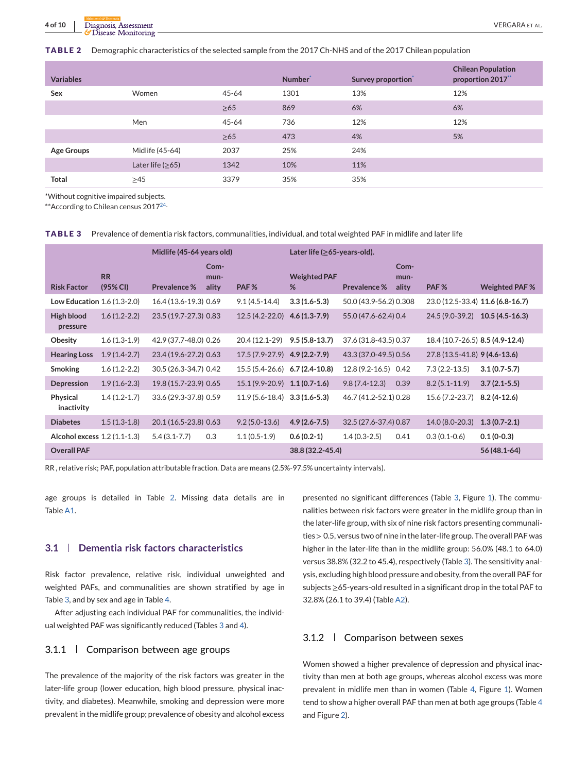<span id="page-3-0"></span>**TABLE 2** Demographic characteristics of the selected sample from the 2017 Ch-NHS and of the 2017 Chilean population

| <b>Variables</b>  |                    |           | Number <sup>®</sup> | Survey proportion | <b>Chilean Population</b><br>proportion 2017** |
|-------------------|--------------------|-----------|---------------------|-------------------|------------------------------------------------|
| Sex               | Women              | $45 - 64$ | 1301                | 13%               | 12%                                            |
|                   |                    | $\geq 65$ | 869                 | 6%                | 6%                                             |
|                   | Men                | $45 - 64$ | 736                 | 12%               | 12%                                            |
|                   |                    | $\geq 65$ | 473                 | 4%                | 5%                                             |
| <b>Age Groups</b> | Midlife (45-64)    | 2037      | 25%                 | 24%               |                                                |
|                   | Later life $(≥65)$ | 1342      | 10%                 | 11%               |                                                |
| <b>Total</b>      | >45                | 3379      | 35%                 | 35%               |                                                |

\*Without cognitive impaired subjects.

\*\* According to Chilean census 2017<sup>[24.](#page-8-0)</sup>

|                                                 |                       | Midlife (45-64 years old) |                       | Later life ( $\geq 65$ -years-old). |                          |                        |                       |                                 |                                  |
|-------------------------------------------------|-----------------------|---------------------------|-----------------------|-------------------------------------|--------------------------|------------------------|-----------------------|---------------------------------|----------------------------------|
| <b>Risk Factor</b>                              | <b>RR</b><br>(95% CI) | <b>Prevalence %</b>       | Com-<br>mun-<br>ality | PAF <sub>%</sub>                    | <b>Weighted PAF</b><br>% | <b>Prevalence %</b>    | Com-<br>mun-<br>ality | PAF <sub>%</sub>                | <b>Weighted PAF %</b>            |
| <b>Low Education 1.6 <math>(1.3-2.0)</math></b> |                       | 16.4 (13.6-19.3) 0.69     |                       | $9.1(4.5-14.4)$                     | $3.3(1.6-5.3)$           | 50.0 (43.9-56.2) 0.308 |                       |                                 | 23.0 (12.5-33.4) 11.6 (6.8-16.7) |
| High blood<br>pressure                          | $1.6(1.2-2.2)$        | 23.5 (19.7-27.3) 0.83     |                       | $12.5(4.2 - 22.0)$                  | $4.6(1.3-7.9)$           | 55.0 (47.6-62.4) 0.4   |                       | 24.5 (9.0-39.2)                 | $10.5(4.5-16.3)$                 |
| Obesity                                         | $1.6(1.3-1.9)$        | 42.9 (37.7-48.0) 0.26     |                       | 20.4 (12.1-29)                      | $9.5(5.8-13.7)$          | 37.6 (31.8-43.5) 0.37  |                       | 18.4 (10.7-26.5) 8.5 (4.9-12.4) |                                  |
| <b>Hearing Loss</b>                             | $1.9(1.4-2.7)$        | 23.4 (19.6-27.2) 0.63     |                       | $17.5(7.9-27.9)$ 4.9 (2.2-7.9)      |                          | 43.3 (37.0-49.5) 0.56  |                       | 27.8 (13.5-41.8) 9 (4.6-13.6)   |                                  |
| <b>Smoking</b>                                  | $1.6(1.2-2.2)$        | 30.5 (26.3-34.7) 0.42     |                       | 15.5 (5.4-26.6) 6.7 (2.4-10.8)      |                          | 12.8 (9.2-16.5) 0.42   |                       | $7.3(2.2-13.5)$                 | $3.1(0.7 - 5.7)$                 |
| Depression                                      | $1.9(1.6-2.3)$        | 19.8 (15.7-23.9) 0.65     |                       | $15.1(9.9-20.9)$ 1.1 (0.7-1.6)      |                          | $9.8(7.4-12.3)$        | 0.39                  | $8.2(5.1 - 11.9)$               | $3.7(2.1-5.5)$                   |
| Physical<br>inactivity                          | $1.4(1.2-1.7)$        | 33.6 (29.3-37.8) 0.59     |                       | $11.9(5.6-18.4)$ $3.3(1.6-5.3)$     |                          | 46.7 (41.2-52.1) 0.28  |                       | 15.6 (7.2-23.7)                 | $8.2(4-12.6)$                    |
| <b>Diabetes</b>                                 | $1.5(1.3-1.8)$        | 20.1 (16.5-23.8) 0.63     |                       | $9.2(5.0-13.6)$                     | $4.9(2.6 - 7.5)$         | 32.5 (27.6-37.4) 0.87  |                       | 14.0 (8.0-20.3)                 | $1.3(0.7-2.1)$                   |
| Alcohol excess 1.2 (1.1-1.3)                    |                       | $5.4(3.1 - 7.7)$          | 0.3                   | $1.1(0.5-1.9)$                      | $0.6(0.2-1)$             | $1.4(0.3-2.5)$         | 0.41                  | $0.3(0.1-0.6)$                  | $0.1(0-0.3)$                     |
| <b>Overall PAF</b>                              |                       |                           |                       |                                     | 38.8 (32.2-45.4)         |                        |                       |                                 | 56 (48.1-64)                     |

RR , relative risk; PAF, population attributable fraction. Data are means (2.5%-97.5% uncertainty intervals).

age groups is detailed in Table 2. Missing data details are in Table [A1.](#page-9-0)

#### **3.1 Dementia risk factors characteristics**

Risk factor prevalence, relative risk, individual unweighted and weighted PAFs, and communalities are shown stratified by age in Table 3, and by sex and age in Table [4.](#page-4-0)

After adjusting each individual PAF for communalities, the individual weighted PAF was significantly reduced (Tables 3 and [4\)](#page-4-0).

## 3.1.1 Comparison between age groups

The prevalence of the majority of the risk factors was greater in the later-life group (lower education, high blood pressure, physical inactivity, and diabetes). Meanwhile, smoking and depression were more prevalent in the midlife group; prevalence of obesity and alcohol excess

presented no significant differences (Table 3, Figure [1\)](#page-5-0). The communalities between risk factors were greater in the midlife group than in the later-life group, with six of nine risk factors presenting communalities > 0.5, versus two of nine in the later-life group. The overall PAF was higher in the later-life than in the midlife group: 56.0% (48.1 to 64.0) versus 38.8% (32.2 to 45.4), respectively (Table 3). The sensitivity analysis, excluding high blood pressure and obesity, from the overall PAF for subjects ≥65-years-old resulted in a significant drop in the total PAF to 32.8% (26.1 to 39.4) (Table [A2\)](#page-9-0).

## 3.1.2 Comparison between sexes

Women showed a higher prevalence of depression and physical inactivity than men at both age groups, whereas alcohol excess was more prevalent in midlife men than in women (Table [4,](#page-4-0) Figure [1\)](#page-5-0). Women tend to show a higher overall PAF than men at both age groups (Table [4](#page-4-0) and Figure [2\)](#page-5-0).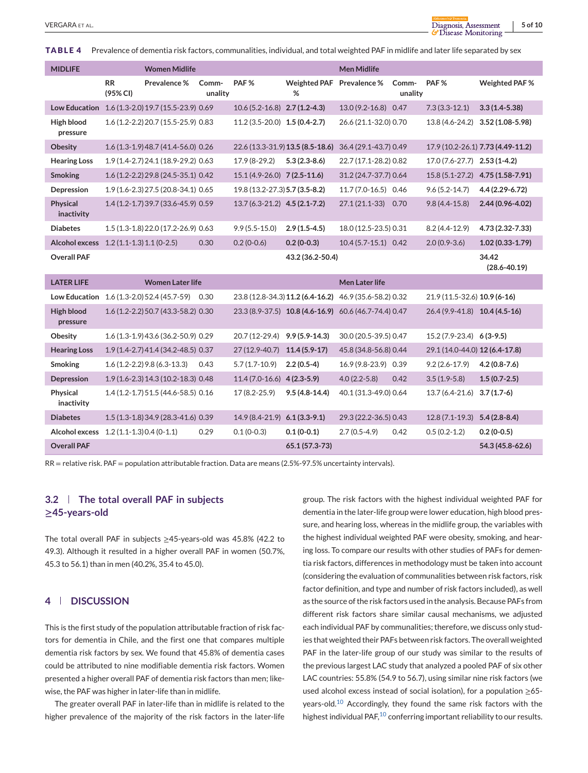<span id="page-4-0"></span>**TABLE 4** Prevalence of dementia risk factors, communalities, individual, and total weighted PAF in midlife and later life separated by sex

| <b>MIDLIFE</b>                |                          | <b>Women Midlife</b>                |                  |                                  |                                  | <b>Men Midlife</b>                                     |                  |                                |                                   |
|-------------------------------|--------------------------|-------------------------------------|------------------|----------------------------------|----------------------------------|--------------------------------------------------------|------------------|--------------------------------|-----------------------------------|
|                               | <b>RR</b><br>(95% CI)    | Prevalence %                        | Comm-<br>unality | PAF <sub>%</sub>                 | Weighted PAF Prevalence %<br>%   |                                                        | Comm-<br>unality | PAF <sub>%</sub>               | Weighted PAF %                    |
| <b>Low Education</b>          |                          | 1.6 (1.3-2.0) 19.7 (15.5-23.9) 0.69 |                  | $10.6(5.2 - 16.8)$ 2.7 (1.2-4.3) |                                  | $13.0(9.2 - 16.8)$                                     | 0.47             | $7.3(3.3-12.1)$                | $3.3(1.4 - 5.38)$                 |
| High blood<br>pressure        |                          | 1.6 (1.2-2.2) 20.7 (15.5-25.9) 0.83 |                  | $11.2(3.5-20.0)$ 1.5 (0.4-2.7)   |                                  | 26.6 (21.1-32.0) 0.70                                  |                  | 13.8 (4.6-24.2)                | $3.52(1.08-5.98)$                 |
| Obesity                       |                          | 1.6 (1.3-1.9) 48.7 (41.4-56.0) 0.26 |                  |                                  | 22.6 (13.3-31.9) 13.5 (8.5-18.6) | 36.4 (29.1-43.7) 0.49                                  |                  |                                | 17.9 (10.2-26.1) 7.73 (4.49-11.2) |
| <b>Hearing Loss</b>           |                          | 1.9 (1.4-2.7) 24.1 (18.9-29.2) 0.63 |                  | 17.9 (8-29.2)                    | $5.3(2.3-8.6)$                   | 22.7 (17.1-28.2) 0.82                                  |                  | $17.0(7.6-27.7)$ $2.53(1-4.2)$ |                                   |
| <b>Smoking</b>                |                          | 1.6 (1.2-2.2) 29.8 (24.5-35.1) 0.42 |                  | $15.1(4.9-26.0)$ 7(2.5-11.6)     |                                  | 31.2 (24.7-37.7) 0.64                                  |                  | $15.8(5.1-27.2)$               | 4.75 (1.58-7.91)                  |
| Depression                    |                          | 1.9 (1.6-2.3) 27.5 (20.8-34.1) 0.65 |                  | 19.8 (13.2-27.3) 5.7 (3.5-8.2)   |                                  | 11.7 (7.0-16.5) 0.46                                   |                  | $9.6(5.2 - 14.7)$              | $4.4(2.29 - 6.72)$                |
| <b>Physical</b><br>inactivity |                          | 1.4 (1.2-1.7) 39.7 (33.6-45.9) 0.59 |                  | $13.7(6.3-21.2)$ 4.5 $(2.1-7.2)$ |                                  | $27.1(21.1-33)$                                        | 0.70             | $9.8(4.4 - 15.8)$              | 2.44 (0.96-4.02)                  |
| <b>Diabetes</b>               |                          | 1.5 (1.3-1.8) 22.0 (17.2-26.9) 0.63 |                  | $9.9(5.5-15.0)$                  | $2.9(1.5-4.5)$                   | 18.0 (12.5-23.5) 0.31                                  |                  | $8.2(4.4-12.9)$                | 4.73 (2.32-7.33)                  |
| <b>Alcohol excess</b>         | $1.2(1.1-1.3)1.1(0-2.5)$ |                                     | 0.30             | $0.2(0-0.6)$                     | $0.2(0-0.3)$                     | $10.4(5.7-15.1)$ 0.42                                  |                  | $2.0(0.9-3.6)$                 | $1.02(0.33 - 1.79)$               |
| <b>Overall PAF</b>            |                          |                                     |                  |                                  | 43.2 (36.2-50.4)                 |                                                        |                  |                                | 34.42<br>$(28.6 - 40.19)$         |
| <b>LATER LIFE</b>             |                          | <b>Women Later life</b>             |                  |                                  |                                  | Men Later life                                         |                  |                                |                                   |
| <b>Low Education</b>          |                          | 1.6 (1.3-2.0) 52.4 (45.7-59)        | 0.30             |                                  |                                  | 23.8 (12.8-34.3) 11.2 (6.4-16.2) 46.9 (35.6-58.2) 0.32 |                  | 21.9 (11.5-32.6) 10.9 (6-16)   |                                   |
| <b>High blood</b><br>pressure |                          | 1.6 (1.2-2.2) 50.7 (43.3-58.2) 0.30 |                  |                                  | 23.3 (8.9-37.5) 10.8 (4.6-16.9)  | 60.6 (46.7-74.4) 0.47                                  |                  | 26.4 (9.9-41.8) 10.4 (4.5-16)  |                                   |
| Obesity                       |                          | 1.6 (1.3-1.9) 43.6 (36.2-50.9) 0.29 |                  | 20.7 (12-29.4)                   | $9.9(5.9 - 14.3)$                | 30.0 (20.5-39.5) 0.47                                  |                  | $15.2(7.9-23.4)$ 6(3-9.5)      |                                   |
| <b>Hearing Loss</b>           |                          | 1.9 (1.4-2.7) 41.4 (34.2-48.5) 0.37 |                  | 27 (12.9-40.7)                   | $11.4(5.9-17)$                   | 45.8 (34.8-56.8) 0.44                                  |                  | 29.1 (14.0-44.0) 12 (6.4-17.8) |                                   |
| <b>Smoking</b>                |                          | $1.6(1.2 - 2.2)9.8(6.3 - 13.3)$     | 0.43             | $5.7(1.7-10.9)$                  | $2.2(0.5-4)$                     | 16.9 (9.8-23.9) 0.39                                   |                  | $9.2(2.6-17.9)$                | $4.2(0.8-7.6)$                    |
| Depression                    |                          | 1.9 (1.6-2.3) 14.3 (10.2-18.3) 0.48 |                  | $11.4(7.0-16.6)$ 4(2.3-5.9)      |                                  | $4.0(2.2-5.8)$                                         | 0.42             | $3.5(1.9-5.8)$                 | $1.5(0.7-2.5)$                    |
| Physical<br>inactivity        |                          | 1.4 (1.2-1.7) 51.5 (44.6-58.5) 0.16 |                  | 17 (8.2-25.9)                    | $9.5(4.8-14.4)$                  | 40.1 (31.3-49.0) 0.64                                  |                  | $13.7(6.4-21.6)$               | $3.7(1.7-6)$                      |
| <b>Diabetes</b>               |                          | 1.5 (1.3-1.8) 34.9 (28.3-41.6) 0.39 |                  | $14.9(8.4-21.9)$ 6.1(3.3-9.1)    |                                  | 29.3 (22.2-36.5) 0.43                                  |                  | $12.8(7.1-19.3)$               | $5.4(2.8-8.4)$                    |
| <b>Alcohol excess</b>         | $1.2(1.1-1.3)0.4(0-1.1)$ |                                     | 0.29             | $0.1(0-0.3)$                     | $0.1(0-0.1)$                     | $2.7(0.5-4.9)$                                         | 0.42             | $0.5(0.2-1.2)$                 | $0.2(0-0.5)$                      |
| <b>Overall PAF</b>            |                          |                                     |                  |                                  | 65.1 (57.3-73)                   |                                                        |                  |                                | 54.3 (45.8-62.6)                  |

RR = relative risk. PAF = population attributable fraction. Data are means (2.5%-97.5% uncertainty intervals).

# **3.2 The total overall PAF in subjects ≥45-years-old**

The total overall PAF in subjects ≥45-years-old was 45.8% (42.2 to 49.3). Although it resulted in a higher overall PAF in women (50.7%, 45.3 to 56.1) than in men (40.2%, 35.4 to 45.0).

# **4 DISCUSSION**

This is the first study of the population attributable fraction of risk factors for dementia in Chile, and the first one that compares multiple dementia risk factors by sex. We found that 45.8% of dementia cases could be attributed to nine modifiable dementia risk factors. Women presented a higher overall PAF of dementia risk factors than men; likewise, the PAF was higher in later-life than in midlife.

The greater overall PAF in later-life than in midlife is related to the higher prevalence of the majority of the risk factors in the later-life

group. The risk factors with the highest individual weighted PAF for dementia in the later-life group were lower education, high blood pressure, and hearing loss, whereas in the midlife group, the variables with the highest individual weighted PAF were obesity, smoking, and hearing loss. To compare our results with other studies of PAFs for dementia risk factors, differences in methodology must be taken into account (considering the evaluation of communalities between risk factors, risk factor definition, and type and number of risk factors included), as well as the source of the risk factors used in the analysis. Because PAFs from different risk factors share similar causal mechanisms, we adjusted each individual PAF by communalities; therefore, we discuss only studies that weighted their PAFs between risk factors. The overall weighted PAF in the later-life group of our study was similar to the results of the previous largest LAC study that analyzed a pooled PAF of six other LAC countries: 55.8% (54.9 to 56.7), using similar nine risk factors (we used alcohol excess instead of social isolation), for a population ≥65 years-old.[10](#page-7-0) Accordingly, they found the same risk factors with the highest individual PAF, $^{10}$  $^{10}$  $^{10}$  conferring important reliability to our results.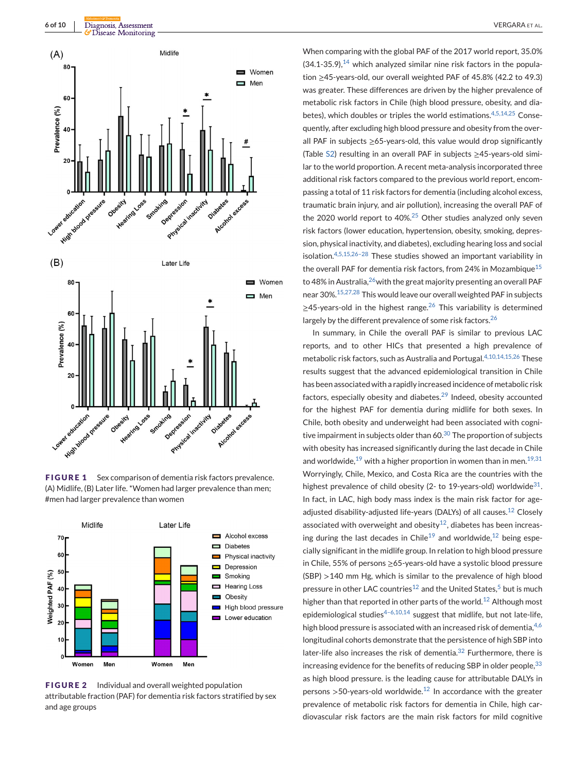<span id="page-5-0"></span>

**FIGURE 1** Sex comparison of dementia risk factors prevalence. (A) Midlife, (B) Later life. \*Women had larger prevalence than men; #men had larger prevalence than women



**FIGURE 2** Individual and overall weighted population attributable fraction (PAF) for dementia risk factors stratified by sex and age groups

When comparing with the global PAF of the 2017 world report, 35.0%  $(34.1-35.9)$ ,  $14$  which analyzed similar nine risk factors in the population ≥45-years-old, our overall weighted PAF of 45.8% (42.2 to 49.3) was greater. These differences are driven by the higher prevalence of metabolic risk factors in Chile (high blood pressure, obesity, and dia-betes), which doubles or triples the world estimations.<sup>[4,5,14,25](#page-7-0)</sup> Consequently, after excluding high blood pressure and obesity from the overall PAF in subjects ≥65-years-old, this value would drop significantly (Table [S2\)](#page-9-0) resulting in an overall PAF in subjects ≥45-years-old similar to the world proportion. A recent meta-analysis incorporated three additional risk factors compared to the previous world report, encompassing a total of 11 risk factors for dementia (including alcohol excess, traumatic brain injury, and air pollution), increasing the overall PAF of the 2020 world report to 40%.<sup>[25](#page-8-0)</sup> Other studies analyzed only seven risk factors (lower education, hypertension, obesity, smoking, depression, physical inactivity, and diabetes), excluding hearing loss and social isolation.[4,5,15,26–28](#page-7-0) These studies showed an important variability in the overall PAF for dementia risk factors, from 24% in Mozambique<sup>[15](#page-7-0)</sup> to 48% in Australia, $^{26}$ with the great majority presenting an overall PAF near 30%.[15,27,28](#page-7-0) This would leave our overall weighted PAF in subjects  $\geq$ 45-years-old in the highest range.<sup>[26](#page-8-0)</sup> This variability is determined largely by the different prevalence of some risk factors.<sup>[26](#page-8-0)</sup>

In summary, in Chile the overall PAF is similar to previous LAC reports, and to other HICs that presented a high prevalence of metabolic risk factors, such as Australia and Portugal. $4,10,14,15,26$  These results suggest that the advanced epidemiological transition in Chile has been associated with a rapidly increased incidence of metabolic risk factors, especially obesity and diabetes. $29$  Indeed, obesity accounted for the highest PAF for dementia during midlife for both sexes. In Chile, both obesity and underweight had been associated with cognitive impairment in subjects older than  $60.30$  $60.30$  The proportion of subjects with obesity has increased significantly during the last decade in Chile and worldwide,<sup>[19](#page-8-0)</sup> with a higher proportion in women than in men.<sup>[19,31](#page-8-0)</sup> Worryingly, Chile, Mexico, and Costa Rica are the countries with the highest prevalence of child obesity (2- to 19-years-old) worldwide<sup>31</sup>. In fact, in LAC, high body mass index is the main risk factor for age-adjusted disability-adjusted life-years (DALYs) of all causes.<sup>[12](#page-7-0)</sup> Closely associated with overweight and obesity<sup>12</sup>, diabetes has been increas-ing during the last decades in Chile<sup>[19](#page-8-0)</sup> and worldwide,<sup>[12](#page-7-0)</sup> being especially significant in the midlife group. In relation to high blood pressure in Chile, 55% of persons ≥65-years-old have a systolic blood pressure (SBP) >140 mm Hg, which is similar to the prevalence of high blood pressure in other LAC countries<sup>12</sup> and the United States,<sup>[5](#page-7-0)</sup> but is much higher than that reported in other parts of the world.<sup>[12](#page-7-0)</sup> Although most epidemiological studies $4-6,10,14$  suggest that midlife, but not late-life, high blood pressure is associated with an increased risk of dementia,  $4,6$ longitudinal cohorts demonstrate that the persistence of high SBP into later-life also increases the risk of dementia. $32$  Furthermore, there is increasing evidence for the benefits of reducing SBP in older people,  $33$ as high blood pressure. is the leading cause for attributable DALYs in persons  $>$  50-years-old worldwide.<sup>[12](#page-7-0)</sup> In accordance with the greater prevalence of metabolic risk factors for dementia in Chile, high cardiovascular risk factors are the main risk factors for mild cognitive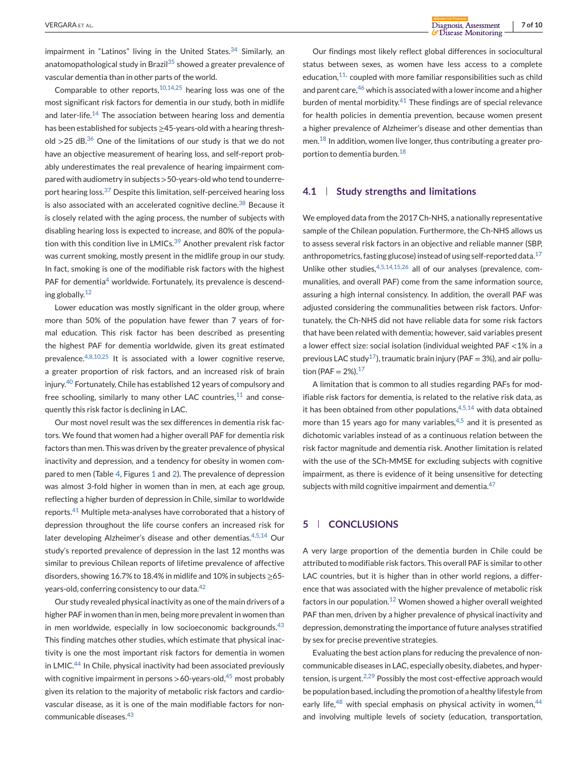impairment in "Latinos" living in the United States.  $34$  Similarly, an anatomopathological study in Brazil<sup>[35](#page-8-0)</sup> showed a greater prevalence of vascular dementia than in other parts of the world.

Comparable to other reports,  $10,14,25$  hearing loss was one of the most significant risk factors for dementia in our study, both in midlife and later-life.<sup>[14](#page-7-0)</sup> The association between hearing loss and dementia has been established for subjects ≥45-years-old with a hearing threshold  $>$ 25 dB.<sup>[36](#page-8-0)</sup> One of the limitations of our study is that we do not have an objective measurement of hearing loss, and self-report probably underestimates the real prevalence of hearing impairment compared with audiometry in subjects >50-years-old who tend to underre-port hearing loss.<sup>[37](#page-8-0)</sup> Despite this limitation, self-perceived hearing loss is also associated with an accelerated cognitive decline.<sup>[38](#page-8-0)</sup> Because it is closely related with the aging process, the number of subjects with disabling hearing loss is expected to increase, and 80% of the popula-tion with this condition live in LMICs.<sup>[39](#page-8-0)</sup> Another prevalent risk factor was current smoking, mostly present in the midlife group in our study. In fact, smoking is one of the modifiable risk factors with the highest PAF for dementia<sup>[4](#page-7-0)</sup> worldwide. Fortunately, its prevalence is descending globally.[12](#page-7-0)

Lower education was mostly significant in the older group, where more than 50% of the population have fewer than 7 years of formal education. This risk factor has been described as presenting the highest PAF for dementia worldwide, given its great estimated prevalence. $4,8,10,25$  It is associated with a lower cognitive reserve. a greater proportion of risk factors, and an increased risk of brain injury.[40](#page-8-0) Fortunately, Chile has established 12 years of compulsory and free schooling, similarly to many other LAC countries, $11$  and consequently this risk factor is declining in LAC.

Our most novel result was the sex differences in dementia risk factors. We found that women had a higher overall PAF for dementia risk factors than men. This was driven by the greater prevalence of physical inactivity and depression, and a tendency for obesity in women compared to men (Table [4,](#page-4-0) Figures [1](#page-5-0) and [2\)](#page-5-0). The prevalence of depression was almost 3-fold higher in women than in men, at each age group, reflecting a higher burden of depression in Chile, similar to worldwide reports.<sup>[41](#page-8-0)</sup> Multiple meta-analyses have corroborated that a history of depression throughout the life course confers an increased risk for later developing Alzheimer's disease and other dementias.<sup>[4,5,14](#page-7-0)</sup> Our study's reported prevalence of depression in the last 12 months was similar to previous Chilean reports of lifetime prevalence of affective disorders, showing 16.7% to 18.4% in midlife and 10% in subjects ≥65- years-old, conferring consistency to our data.<sup>[42](#page-8-0)</sup>

Our study revealed physical inactivity as one of the main drivers of a higher PAF in women than in men, being more prevalent in women than in men worldwide, especially in low socioeconomic backgrounds. $43$ This finding matches other studies, which estimate that physical inactivity is one the most important risk factors for dementia in women in LMIC.[44](#page-8-0) In Chile, physical inactivity had been associated previously with cognitive impairment in persons  $>$  60-years-old,<sup>[45](#page-8-0)</sup> most probably given its relation to the majority of metabolic risk factors and cardiovascular disease, as it is one of the main modifiable factors for noncommunicable diseases.[43](#page-8-0)

Our findings most likely reflect global differences in sociocultural status between sexes, as women have less access to a complete education, $11$ , coupled with more familiar responsibilities such as child and parent care,  $46$  which is associated with a lower income and a higher burden of mental morbidity. $41$  These findings are of special relevance for health policies in dementia prevention, because women present a higher prevalence of Alzheimer's disease and other dementias than men.<sup>[18](#page-8-0)</sup> In addition, women live longer, thus contributing a greater proportion to dementia burden.[18](#page-8-0)

#### **4.1 Study strengths and limitations**

We employed data from the 2017 Ch-NHS, a nationally representative sample of the Chilean population. Furthermore, the Ch-NHS allows us to assess several risk factors in an objective and reliable manner (SBP, anthropometrics, fasting glucose) instead of using self-reported data.<sup>[17](#page-7-0)</sup> Unlike other studies, [4,5,14,15,26](#page-7-0) all of our analyses (prevalence, communalities, and overall PAF) come from the same information source, assuring a high internal consistency. In addition, the overall PAF was adjusted considering the communalities between risk factors. Unfortunately, the Ch-NHS did not have reliable data for some risk factors that have been related with dementia; however, said variables present a lower effect size: social isolation (individual weighted PAF <1% in a previous LAC study<sup>17</sup>), traumatic brain injury (PAF = 3%), and air pollution (PAF =  $2\%$ ).<sup>[17](#page-7-0)</sup>

A limitation that is common to all studies regarding PAFs for modifiable risk factors for dementia, is related to the relative risk data, as it has been obtained from other populations, $4,5,14$  with data obtained more than 15 years ago for many variables, $4,5$  and it is presented as dichotomic variables instead of as a continuous relation between the risk factor magnitude and dementia risk. Another limitation is related with the use of the SCh-MMSE for excluding subjects with cognitive impairment, as there is evidence of it being unsensitive for detecting subjects with mild cognitive impairment and dementia. $47$ 

# **5 CONCLUSIONS**

A very large proportion of the dementia burden in Chile could be attributed to modifiable risk factors. This overall PAF is similar to other LAC countries, but it is higher than in other world regions, a difference that was associated with the higher prevalence of metabolic risk factors in our population.<sup>[12](#page-7-0)</sup> Women showed a higher overall weighted PAF than men, driven by a higher prevalence of physical inactivity and depression, demonstrating the importance of future analyses stratified by sex for precise preventive strategies.

Evaluating the best action plans for reducing the prevalence of noncommunicable diseases in LAC, especially obesity, diabetes, and hypertension, is urgent. $2,29$  Possibly the most cost-effective approach would be population based, including the promotion of a healthy lifestyle from early life, $48$  with special emphasis on physical activity in women,  $44$ and involving multiple levels of society (education, transportation,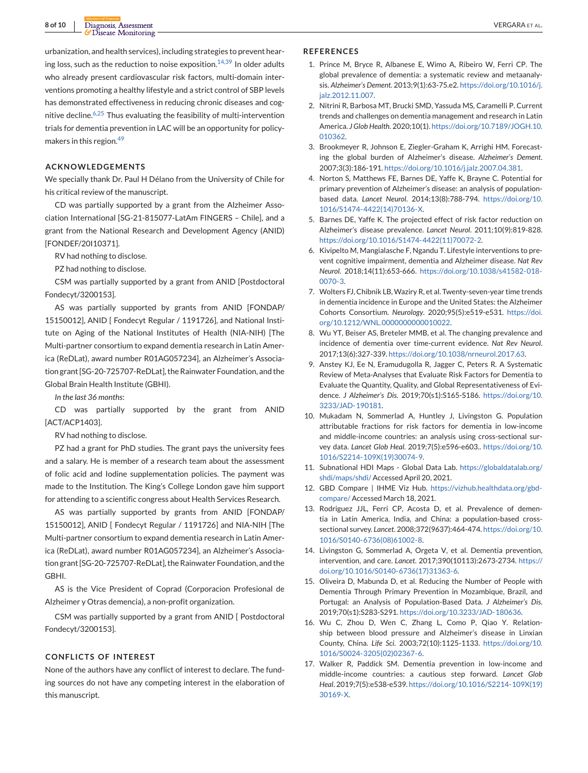<span id="page-7-0"></span>urbanization, and health services), including strategies to prevent hearing loss, such as the reduction to noise exposition. $14,39$  In older adults who already present cardiovascular risk factors, multi-domain interventions promoting a healthy lifestyle and a strict control of SBP levels has demonstrated effectiveness in reducing chronic diseases and cognitive decline. $6,25$  Thus evaluating the feasibility of multi-intervention trials for dementia prevention in LAC will be an opportunity for policymakers in this region.[49](#page-8-0)

#### **ACKNOWLEDGEMENTS**

We specially thank Dr. Paul H Délano from the University of Chile for his critical review of the manuscript.

CD was partially supported by a grant from the Alzheimer Association International [SG-21-815077-LatAm FINGERS – Chile], and a grant from the National Research and Development Agency (ANID) [FONDEF/20I10371].

RV had nothing to disclose.

PZ had nothing to disclose.

CSM was partially supported by a grant from ANID [Postdoctoral Fondecyt/3200153].

AS was partially supported by grants from ANID [FONDAP/ 15150012], ANID [ Fondecyt Regular / 1191726], and National Institute on Aging of the National Institutes of Health (NIA-NIH) [The Multi-partner consortium to expand dementia research in Latin America (ReDLat), award number R01AG057234], an Alzheimer's Association grant [SG-20-725707-ReDLat], the Rainwater Foundation, and the Global Brain Health Institute (GBHI).

*In the last 36 months*:

CD was partially supported by the grant from ANID [ACT/ACP1403].

RV had nothing to disclose.

PZ had a grant for PhD studies. The grant pays the university fees and a salary. He is member of a research team about the assessment of folic acid and Iodine supplementation policies. The payment was made to the Institution. The King's College London gave him support for attending to a scientific congress about Health Services Research.

AS was partially supported by grants from ANID [FONDAP/ 15150012], ANID [ Fondecyt Regular / 1191726] and NIA-NIH [The Multi-partner consortium to expand dementia research in Latin America (ReDLat), award number R01AG057234], an Alzheimer's Association grant [SG-20-725707-ReDLat], the Rainwater Foundation, and the GBHI.

AS is the Vice President of Coprad (Corporacion Profesional de Alzheimer y Otras demencia), a non-profit organization.

CSM was partially supported by a grant from ANID [ Postdoctoral Fondecyt/3200153].

#### **CONFLICTS OF INTEREST**

None of the authors have any conflict of interest to declare. The funding sources do not have any competing interest in the elaboration of this manuscript.

#### **REFERENCES**

- 1. Prince M, Bryce R, Albanese E, Wimo A, Ribeiro W, Ferri CP. The global prevalence of dementia: a systematic review and metaanalysis. *Alzheimer's Dement*. 2013;9(1):63-75.e2. [https://doi.org/10.1016/j.](https://doi.org/10.1016/j.jalz.2012.11.007) [jalz.2012.11.007.](https://doi.org/10.1016/j.jalz.2012.11.007)
- 2. Nitrini R, Barbosa MT, Brucki SMD, Yassuda MS, Caramelli P. Current trends and challenges on dementia management and research in Latin America. *J Glob Health*. 2020;10(1). [https://doi.org/10.7189/JOGH.10.](https://doi.org/10.7189/JOGH.10.010362) [010362.](https://doi.org/10.7189/JOGH.10.010362)
- 3. Brookmeyer R, Johnson E, Ziegler-Graham K, Arrighi HM. Forecasting the global burden of Alzheimer's disease. *Alzheimer's Dement*. 2007;3(3):186-191. [https://doi.org/10.1016/j.jalz.2007.04.381.](https://doi.org/10.1016/j.jalz.2007.04.381)
- 4. Norton S, Matthews FE, Barnes DE, Yaffe K, Brayne C. Potential for primary prevention of Alzheimer's disease: an analysis of populationbased data. *Lancet Neurol*. 2014;13(8):788-794. [https://doi.org/10.](https://doi.org/10.1016/S1474-4422(14)70136-X) [1016/S1474-4422\(14\)70136-X.](https://doi.org/10.1016/S1474-4422(14)70136-X)
- 5. Barnes DE, Yaffe K. The projected effect of risk factor reduction on Alzheimer's disease prevalence. *Lancet Neurol*. 2011;10(9):819-828. [https://doi.org/10.1016/S1474-4422\(11\)70072-2.](https://doi.org/10.1016/S1474-4422(11)70072-2)
- 6. Kivipelto M, Mangialasche F, Ngandu T. Lifestyle interventions to prevent cognitive impairment, dementia and Alzheimer disease. *Nat Rev Neurol*. 2018;14(11):653-666. [https://doi.org/10.1038/s41582-018-](https://doi.org/10.1038/s41582-018-0070-3) [0070-3.](https://doi.org/10.1038/s41582-018-0070-3)
- 7. Wolters FJ, Chibnik LB, Waziry R, et al. Twenty-seven-year time trends in dementia incidence in Europe and the United States: the Alzheimer Cohorts Consortium. *Neurology*. 2020;95(5):e519-e531. [https://doi.](https://doi.org/10.1212/WNL.0000000000010022) [org/10.1212/WNL.0000000000010022.](https://doi.org/10.1212/WNL.0000000000010022)
- 8. Wu YT, Beiser AS, Breteler MMB, et al. The changing prevalence and incidence of dementia over time-current evidence. *Nat Rev Neurol*. 2017;13(6):327-339. [https://doi.org/10.1038/nrneurol.2017.63.](https://doi.org/10.1038/nrneurol.2017.63)
- 9. Anstey KJ, Ee N, Eramudugolla R, Jagger C, Peters R. A Systematic Review of Meta-Analyses that Evaluate Risk Factors for Dementia to Evaluate the Quantity, Quality, and Global Representativeness of Evidence. *J Alzheimer's Dis*. 2019;70(s1):S165-S186. [https://doi.org/10.](https://doi.org/10.3233/JAD-190181) [3233/JAD-190181.](https://doi.org/10.3233/JAD-190181)
- 10. Mukadam N, Sommerlad A, Huntley J, Livingston G. Population attributable fractions for risk factors for dementia in low-income and middle-income countries: an analysis using cross-sectional survey data. *Lancet Glob Heal*. 2019;7(5):e596-e603.. [https://doi.org/10.](https://doi.org/10.1016/S2214-109X(19)30074-9) [1016/S2214-109X\(19\)30074-9.](https://doi.org/10.1016/S2214-109X(19)30074-9)
- 11. Subnational HDI Maps Global Data Lab. [https://globaldatalab.org/](https://globaldatalab.org/shdi/maps/shdi/) [shdi/maps/shdi/](https://globaldatalab.org/shdi/maps/shdi/) Accessed April 20, 2021.
- 12. GBD Compare | IHME Viz Hub. [https://vizhub.healthdata.org/gbd](https://vizhub.healthdata.org/gbd-compare/)[compare/](https://vizhub.healthdata.org/gbd-compare/) Accessed March 18, 2021.
- 13. Rodriguez JJL, Ferri CP, Acosta D, et al. Prevalence of dementia in Latin America, India, and China: a population-based crosssectional survey. *Lancet*. 2008;372(9637):464-474. [https://doi.org/10.](https://doi.org/10.1016/S0140-6736(08)61002-8) [1016/S0140-6736\(08\)61002-8.](https://doi.org/10.1016/S0140-6736(08)61002-8)
- 14. Livingston G, Sommerlad A, Orgeta V, et al. Dementia prevention, intervention, and care. *Lancet*. 2017;390(10113):2673-2734. [https://](https://doi.org/10.1016/S0140-6736(17)31363-6) [doi.org/10.1016/S0140-6736\(17\)31363-6.](https://doi.org/10.1016/S0140-6736(17)31363-6)
- 15. Oliveira D, Mabunda D, et al. Reducing the Number of People with Dementia Through Primary Prevention in Mozambique, Brazil, and Portugal: an Analysis of Population-Based Data. *J Alzheimer's Dis*. 2019;70(s1):S283-S291. [https://doi.org/10.3233/JAD-180636.](https://doi.org/10.3233/JAD-180636)
- 16. Wu C, Zhou D, Wen C, Zhang L, Como P, Qiao Y. Relationship between blood pressure and Alzheimer's disease in Linxian County, China. *Life Sci*. 2003;72(10):1125-1133. [https://doi.org/10.](https://doi.org/10.1016/S0024-3205(02)02367-6) [1016/S0024-3205\(02\)02367-6.](https://doi.org/10.1016/S0024-3205(02)02367-6)
- 17. Walker R, Paddick SM. Dementia prevention in low-income and middle-income countries: a cautious step forward. *Lancet Glob Heal*. 2019;7(5):e538-e539. [https://doi.org/10.1016/S2214-109X\(19\)](https://doi.org/10.1016/S2214-109X(19)30169-X) [30169-X.](https://doi.org/10.1016/S2214-109X(19)30169-X)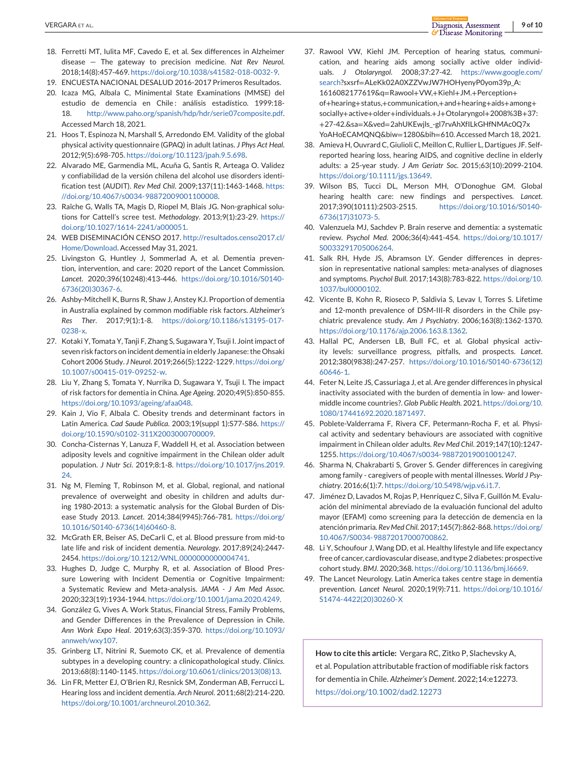- <span id="page-8-0"></span>18. Ferretti MT, Iulita MF, Cavedo E, et al. Sex differences in Alzheimer disease — The gateway to precision medicine. *Nat Rev Neurol*. 2018;14(8):457-469. [https://doi.org/10.1038/s41582-018-0032-9.](https://doi.org/10.1038/s41582-018-0032-9)
- 19. ENCUESTA NACIONAL DESALUD 2016-2017 Primeros Resultados.
- 20. Icaza MG, Albala C, Minimental State Examinations (MMSE) del estudio de demencia en Chile: análisis estadístico. 1999:18-18. [http://www.paho.org/spanish/hdp/hdr/serie07composite.pdf.](http://www.paho.org/spanish/hdp/hdr/serie07composite.pdf) Accessed March 18, 2021.
- 21. Hoos T, Espinoza N, Marshall S, Arredondo EM. Validity of the global physical activity questionnaire (GPAQ) in adult latinas. *J Phys Act Heal*. 2012;9(5):698-705. [https://doi.org/10.1123/jpah.9.5.698.](https://doi.org/10.1123/jpah.9.5.698)
- 22. Alvarado ME, Garmendia ML, Acuña G, Santis R, Arteaga O. Validez y confiabilidad de la versión chilena del alcohol use disorders identification test (AUDIT). *Rev Med Chil*. 2009;137(11):1463-1468. [https:](https://doi.org/10.4067/s0034-98872009001100008) [//doi.org/10.4067/s0034-98872009001100008.](https://doi.org/10.4067/s0034-98872009001100008)
- 23. Raîche G, Walls TA, Magis D, Riopel M, Blais JG. Non-graphical solutions for Cattell's scree test. *Methodology*. 2013;9(1):23-29. [https://](https://doi.org/10.1027/1614-2241/a000051) [doi.org/10.1027/1614-2241/a000051.](https://doi.org/10.1027/1614-2241/a000051)
- 24. WEB DISEMINACIÓN CENSO 2017. [http://resultados.censo2017.cl/](http://resultados.censo2017.cl/Home/Download) [Home/Download.](http://resultados.censo2017.cl/Home/Download) Accessed May 31, 2021.
- 25. Livingston G, Huntley J, Sommerlad A, et al. Dementia prevention, intervention, and care: 2020 report of the Lancet Commission. *Lancet*. 2020;396(10248):413-446. [https://doi.org/10.1016/S0140-](https://doi.org/10.1016/S0140-6736(20)30367-6) [6736\(20\)30367-6.](https://doi.org/10.1016/S0140-6736(20)30367-6)
- 26. Ashby-Mitchell K, Burns R, Shaw J, Anstey KJ. Proportion of dementia in Australia explained by common modifiable risk factors. *Alzheimer's Res Ther*. 2017;9(1):1-8. [https://doi.org/10.1186/s13195-017-](https://doi.org/10.1186/s13195-017-0238-x) [0238-x.](https://doi.org/10.1186/s13195-017-0238-x)
- 27. Kotaki Y, Tomata Y, Tanji F, Zhang S, Sugawara Y, Tsuji I. Joint impact of seven risk factors on incident dementia in elderly Japanese: the Ohsaki Cohort 2006 Study. *J Neurol*. 2019;266(5):1222-1229. [https://doi.org/](https://doi.org/10.1007/s00415-019-09252-w) [10.1007/s00415-019-09252-w.](https://doi.org/10.1007/s00415-019-09252-w)
- 28. Liu Y, Zhang S, Tomata Y, Nurrika D, Sugawara Y, Tsuji I. The impact of risk factors for dementia in China. *Age Ageing*. 2020;49(5):850-855. [https://doi.org/10.1093/ageing/afaa048.](https://doi.org/10.1093/ageing/afaa048)
- 29. Kain J, Vio F, Albala C. Obesity trends and determinant factors in Latin America. *Cad Saude Publica*. 2003;19(suppl 1):S77-S86. [https://](https://doi.org/10.1590/s0102-311X2003000700009) [doi.org/10.1590/s0102-311X2003000700009.](https://doi.org/10.1590/s0102-311X2003000700009)
- 30. Concha-Cisternas Y, Lanuza F, Waddell H, et al. Association between adiposity levels and cognitive impairment in the Chilean older adult population. *J Nutr Sci*. 2019;8:1-8. [https://doi.org/10.1017/jns.2019.](https://doi.org/10.1017/jns.2019.24) [24.](https://doi.org/10.1017/jns.2019.24)
- 31. Ng M, Fleming T, Robinson M, et al. Global, regional, and national prevalence of overweight and obesity in children and adults during 1980-2013: a systematic analysis for the Global Burden of Disease Study 2013. *Lancet*. 2014;384(9945):766-781. [https://doi.org/](https://doi.org/10.1016/S0140-6736(14)60460-8) [10.1016/S0140-6736\(14\)60460-8.](https://doi.org/10.1016/S0140-6736(14)60460-8)
- 32. McGrath ER, Beiser AS, DeCarli C, et al. Blood pressure from mid-to late life and risk of incident dementia. *Neurology*. 2017;89(24):2447- 2454. [https://doi.org/10.1212/WNL.0000000000004741.](https://doi.org/10.1212/WNL.0000000000004741)
- 33. Hughes D, Judge C, Murphy R, et al. Association of Blood Pressure Lowering with Incident Dementia or Cognitive Impairment: a Systematic Review and Meta-analysis. *JAMA - J Am Med Assoc*. 2020;323(19):1934-1944. [https://doi.org/10.1001/jama.2020.4249.](https://doi.org/10.1001/jama.2020.4249)
- 34. González G, Vives A. Work Status, Financial Stress, Family Problems, and Gender Differences in the Prevalence of Depression in Chile. *Ann Work Expo Heal*. 2019;63(3):359-370. [https://doi.org/10.1093/](https://doi.org/10.1093/annweh/wxy107) [annweh/wxy107.](https://doi.org/10.1093/annweh/wxy107)
- 35. Grinberg LT, Nitrini R, Suemoto CK, et al. Prevalence of dementia subtypes in a developing country: a clinicopathological study. *Clinics*. 2013;68(8):1140-1145. [https://doi.org/10.6061/clinics/2013\(08\)13.](https://doi.org/10.6061/clinics/2013(08)13)
- 36. Lin FR, Metter EJ, O'Brien RJ, Resnick SM, Zonderman AB, Ferrucci L. Hearing loss and incident dementia. *Arch Neurol*. 2011;68(2):214-220. [https://doi.org/10.1001/archneurol.2010.362.](https://doi.org/10.1001/archneurol.2010.362)
- 37. Rawool VW, Kiehl JM. Perception of hearing status, communication, and hearing aids among socially active older individuals. *J Otolaryngol*. 2008;37:27-42. [https://www.google.com/](https://www.google.com/search) [search?](https://www.google.com/search)sxsrf=ALeKk02A0XZZVwJW7HOHyenyP0yom39p\_A: 1616082177619&q=Rawool+VW,+Kiehl+JM.+Perception+ of+hearing+status,+communication,+and+hearing+aids+among+ socially+active+older+individuals.+J+Otolaryngol+2008%3B+37: +27-42.&sa=X&ved=2ahUKEwjls\_-gl7rvAhXfILkGHfNMAc0Q7x YoAHoECAMQNQ&biw=1280&bih=610. Accessed March 18, 2021.
- 38. Amieva H, Ouvrard C, Giulioli C, Meillon C, Rullier L, Dartigues JF. Selfreported hearing loss, hearing AIDS, and cognitive decline in elderly adults: a 25-year study. *J Am Geriatr Soc*. 2015;63(10):2099-2104. [https://doi.org/10.1111/jgs.13649.](https://doi.org/10.1111/jgs.13649)
- 39. Wilson BS, Tucci DL, Merson MH, O'Donoghue GM. Global hearing health care: new findings and perspectives. *Lancet*. 2017;390(10111):2503-2515. [https://doi.org/10.1016/S0140-](https://doi.org/10.1016/S0140-6736(17)31073-5) [6736\(17\)31073-5.](https://doi.org/10.1016/S0140-6736(17)31073-5)
- 40. Valenzuela MJ, Sachdev P. Brain reserve and dementia: a systematic review. *Psychol Med*. 2006;36(4):441-454. [https://doi.org/10.1017/](https://doi.org/10.1017/S0033291705006264) [S0033291705006264.](https://doi.org/10.1017/S0033291705006264)
- 41. Salk RH, Hyde JS, Abramson LY. Gender differences in depression in representative national samples: meta-analyses of diagnoses and symptoms. *Psychol Bull*. 2017;143(8):783-822. [https://doi.org/10.](https://doi.org/10.1037/bul0000102) [1037/bul0000102.](https://doi.org/10.1037/bul0000102)
- 42. Vicente B, Kohn R, Rioseco P, Saldivia S, Levav I, Torres S. Lifetime and 12-month prevalence of DSM-III-R disorders in the Chile psychiatric prevalence study. *Am J Psychiatry*. 2006;163(8):1362-1370. [https://doi.org/10.1176/ajp.2006.163.8.1362.](https://doi.org/10.1176/ajp.2006.163.8.1362)
- 43. Hallal PC, Andersen LB, Bull FC, et al. Global physical activity levels: surveillance progress, pitfalls, and prospects. *Lancet*. 2012;380(9838):247-257. [https://doi.org/10.1016/S0140-6736\(12\)](https://doi.org/10.1016/S0140-6736(12)60646-1) [60646-1.](https://doi.org/10.1016/S0140-6736(12)60646-1)
- 44. Feter N, Leite JS, Cassuriaga J, et al. Are gender differences in physical inactivity associated with the burden of dementia in low- and lowermiddle income countries?. *Glob Public Health*. 2021. [https://doi.org/10.](https://doi.org/10.1080/17441692.2020.1871497) [1080/17441692.2020.1871497.](https://doi.org/10.1080/17441692.2020.1871497)
- 45. Poblete-Valderrama F, Rivera CF, Petermann-Rocha F, et al. Physical activity and sedentary behaviours are associated with cognitive impairment in Chilean older adults. *Rev Med Chil*. 2019;147(10):1247- 1255. [https://doi.org/10.4067/s0034-98872019001001247.](https://doi.org/10.4067/s0034-98872019001001247)
- 46. Sharma N, Chakrabarti S, Grover S. Gender differences in caregiving among family - caregivers of people with mental illnesses. *World J Psychiatry*. 2016;6(1):7. [https://doi.org/10.5498/wjp.v6.i1.7.](https://doi.org/10.5498/wjp.v6.i1.7)
- 47. Jiménez D, Lavados M, Rojas P, Henríquez C, Silva F, Guillón M. Evaluación del minimental abreviado de la evaluación funcional del adulto mayor (EFAM) como screening para la detección de demencia en la atención primaria. *Rev Med Chil*. 2017;145(7):862-868. [https://doi.org/](https://doi.org/10.4067/S0034-98872017000700862) [10.4067/S0034-98872017000700862.](https://doi.org/10.4067/S0034-98872017000700862)
- 48. Li Y, Schoufour J, Wang DD, et al. Healthy lifestyle and life expectancy free of cancer, cardiovascular disease, and type 2 diabetes: prospective cohort study. *BMJ*. 2020;368. [https://doi.org/10.1136/bmj.l6669.](https://doi.org/10.1136/bmj.l6669)
- 49. The Lancet Neurology. Latin America takes centre stage in dementia prevention. *Lancet Neurol*. 2020;19(9):711. [https://doi.org/10.1016/](https://doi.org/10.1016/S1474-4422(20)30260-X) [S1474-4422\(20\)30260-X](https://doi.org/10.1016/S1474-4422(20)30260-X)

**How to cite this article:** Vergara RC, Zitko P, Slachevsky A, et al. Population attributable fraction of modifiable risk factors for dementia in Chile. *Alzheimer's Dement*. 2022;14:e12273. <https://doi.org/10.1002/dad2.12273>